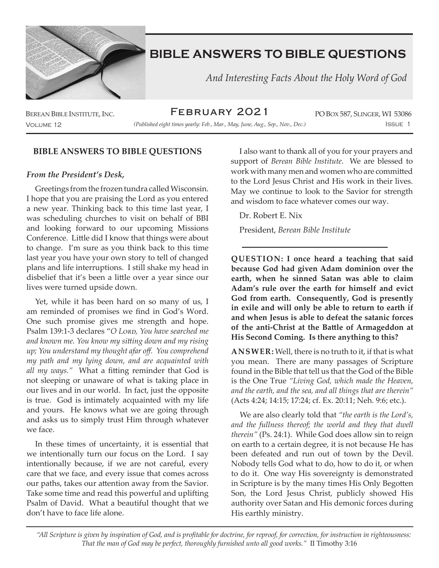

 *And Interesting Facts About the Holy Word of God*

BEREAN BIBLE INSTITUTE, INC.  $FEBRUARY ZOZ1$  po Box 587, SLINGER, WI 53086 February 2021

Volume 12 Issue 1 *(Published eight times yearly: Feb., Mar., May, June, Aug., Sep., Nov., Dec.)*

## **BIBLE ANSWERS TO BIBLE QUESTIONS**

#### *From the President's Desk,*

Greetings from the frozen tundra called Wisconsin. I hope that you are praising the Lord as you entered a new year. Thinking back to this time last year, I was scheduling churches to visit on behalf of BBI and looking forward to our upcoming Missions Conference. Little did I know that things were about to change. I'm sure as you think back to this time last year you have your own story to tell of changed plans and life interruptions. I still shake my head in disbelief that it's been a little over a year since our lives were turned upside down.

Yet, while it has been hard on so many of us, I am reminded of promises we find in God's Word. One such promise gives me strength and hope. Psalm 139:1-3 declares "*O Lord, You have searched me and known me. You know my sitting down and my rising up; You understand my thought afar off. You comprehend my path and my lying down, and are acquainted with all my ways."* What a fitting reminder that God is not sleeping or unaware of what is taking place in our lives and in our world. In fact, just the opposite is true. God is intimately acquainted with my life and yours. He knows what we are going through and asks us to simply trust Him through whatever we face.

In these times of uncertainty, it is essential that we intentionally turn our focus on the Lord. I say intentionally because, if we are not careful, every care that we face, and every issue that comes across our paths, takes our attention away from the Savior. Take some time and read this powerful and uplifting Psalm of David. What a beautiful thought that we don't have to face life alone.

I also want to thank all of you for your prayers and support of *Berean Bible Institute*. We are blessed to work with many men and women who are committed to the Lord Jesus Christ and His work in their lives. May we continue to look to the Savior for strength and wisdom to face whatever comes our way.

Dr. Robert E. Nix

President, *Berean Bible Institute*

**QUESTION: I once heard a teaching that said because God had given Adam dominion over the earth, when he sinned Satan was able to claim Adam's rule over the earth for himself and evict God from earth. Consequently, God is presently in exile and will only be able to return to earth if and when Jesus is able to defeat the satanic forces of the anti-Christ at the Battle of Armageddon at His Second Coming. Is there anything to this?**

**ANSWER:** Well, there is no truth to it, if that is what you mean. There are many passages of Scripture found in the Bible that tell us that the God of the Bible is the One True *"Living God, which made the Heaven, and the earth, and the sea, and all things that are therein"* (Acts 4:24; 14:15; 17:24; cf. Ex. 20:11; Neh. 9:6; etc.).

We are also clearly told that *"the earth is the Lord's, and the fullness thereof; the world and they that dwell therein"* (Ps. 24:1). While God does allow sin to reign on earth to a certain degree, it is not because He has been defeated and run out of town by the Devil. Nobody tells God what to do, how to do it, or when to do it. One way His sovereignty is demonstrated in Scripture is by the many times His Only Begotten Son, the Lord Jesus Christ, publicly showed His authority over Satan and His demonic forces during His earthly ministry.

*"All Scripture is given by inspiration of God, and is profitable for doctrine, for reproof, for correction, for instruction in righteousness: That the man of God may be perfect, thoroughly furnished unto all good works."* II Timothy 3:16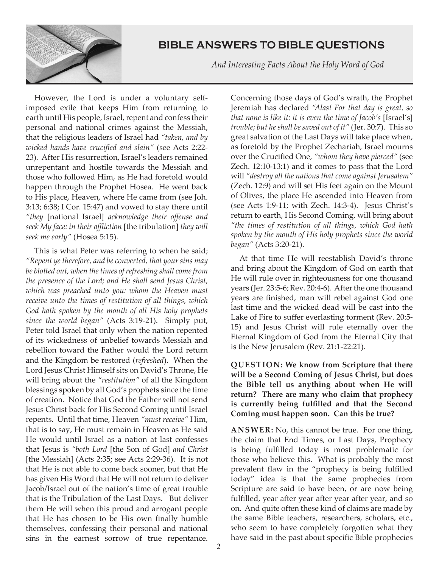

 *And Interesting Facts About the Holy Word of God*

However, the Lord is under a voluntary selfimposed exile that keeps Him from returning to earth until His people, Israel, repent and confess their personal and national crimes against the Messiah, that the religious leaders of Israel had *"taken, and by wicked hands have crucified and slain"* (see Acts 2:22- 23). After His resurrection, Israel's leaders remained unrepentant and hostile towards the Messiah and those who followed Him, as He had foretold would happen through the Prophet Hosea. He went back to His place, Heaven, where He came from (see Joh. 3:13; 6:38; I Cor. 15:47) and vowed to stay there until *"they* [national Israel] *acknowledge their offense and seek My face: in their affliction* [the tribulation] *they will seek me early"* (Hosea 5:15).

This is what Peter was referring to when he said; *"Repent ye therefore, and be converted, that your sins may be blotted out, when the times of refreshing shall come from the presence of the Lord; and He shall send Jesus Christ, which was preached unto you: whom the Heaven must receive unto the times of restitution of all things, which God hath spoken by the mouth of all His holy prophets since the world began"* (Acts 3:19-21). Simply put, Peter told Israel that only when the nation repented of its wickedness of unbelief towards Messiah and rebellion toward the Father would the Lord return and the Kingdom be restored (*refreshed*). When the Lord Jesus Christ Himself sits on David's Throne, He will bring about the *"restitution"* of all the Kingdom blessings spoken by all God's prophets since the time of creation. Notice that God the Father will not send Jesus Christ back for His Second Coming until Israel repents. Until that time, Heaven *"must receive"* Him, that is to say, He must remain in Heaven as He said He would until Israel as a nation at last confesses that Jesus is *"both Lord* [the Son of God] *and Christ*  [the Messiah] (Acts 2:35; see Acts 2:29-36). It is not that He is not able to come back sooner, but that He has given His Word that He will not return to deliver Jacob/Israel out of the nation's time of great trouble that is the Tribulation of the Last Days. But deliver them He will when this proud and arrogant people that He has chosen to be His own finally humble themselves, confessing their personal and national sins in the earnest sorrow of true repentance.

Concerning those days of God's wrath, the Prophet Jeremiah has declared *"Alas! For that day is great, so that none is like it: it is even the time of Jacob's* [Israel's] *trouble; but he shall be saved out of it"* (Jer. 30:7). This so great salvation of the Last Days will take place when, as foretold by the Prophet Zechariah, Israel mourns over the Crucified One, *"whom they have pierced"* (see Zech. 12:10-13:1) and it comes to pass that the Lord will *"destroy all the nations that come against Jerusalem"* (Zech. 12:9) and will set His feet again on the Mount of Olives, the place He ascended into Heaven from (see Acts 1:9-11; with Zech. 14:3-4). Jesus Christ's return to earth, His Second Coming, will bring about *"the times of restitution of all things, which God hath spoken by the mouth of His holy prophets since the world began"* (Acts 3:20-21).

At that time He will reestablish David's throne and bring about the Kingdom of God on earth that He will rule over in righteousness for one thousand years (Jer. 23:5-6; Rev. 20:4-6). After the one thousand years are finished, man will rebel against God one last time and the wicked dead will be cast into the Lake of Fire to suffer everlasting torment (Rev. 20:5- 15) and Jesus Christ will rule eternally over the Eternal Kingdom of God from the Eternal City that is the New Jerusalem (Rev. 21:1-22:21).

**QUESTION: We know from Scripture that there will be a Second Coming of Jesus Christ, but does the Bible tell us anything about when He will return? There are many who claim that prophecy is currently being fulfilled and that the Second Coming must happen soon. Can this be true?**

**ANSWER:** No, this cannot be true. For one thing, the claim that End Times, or Last Days, Prophecy is being fulfilled today is most problematic for those who believe this. What is probably the most prevalent flaw in the "prophecy is being fulfilled today" idea is that the same prophecies from Scripture are said to have been, or are now being fulfilled, year after year after year after year, and so on. And quite often these kind of claims are made by the same Bible teachers, researchers, scholars, etc., who seem to have completely forgotten what they have said in the past about specific Bible prophecies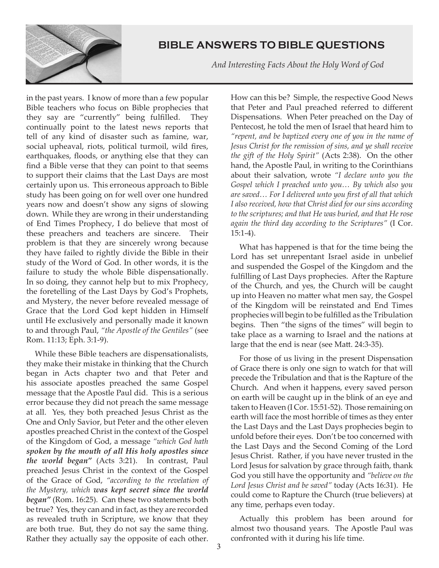

 *And Interesting Facts About the Holy Word of God*

in the past years. I know of more than a few popular Bible teachers who focus on Bible prophecies that they say are "currently" being fulfilled. They continually point to the latest news reports that tell of any kind of disaster such as famine, war, social upheaval, riots, political turmoil, wild fires, earthquakes, floods, or anything else that they can find a Bible verse that they can point to that seems to support their claims that the Last Days are most certainly upon us. This erroneous approach to Bible study has been going on for well over one hundred years now and doesn't show any signs of slowing down. While they are wrong in their understanding of End Times Prophecy, I do believe that most of these preachers and teachers are sincere. Their problem is that they are sincerely wrong because they have failed to rightly divide the Bible in their study of the Word of God. In other words, it is the failure to study the whole Bible dispensationally. In so doing, they cannot help but to mix Prophecy, the foretelling of the Last Days by God's Prophets, and Mystery, the never before revealed message of Grace that the Lord God kept hidden in Himself until He exclusively and personally made it known to and through Paul, *"the Apostle of the Gentiles"* (see Rom. 11:13; Eph. 3:1-9).

While these Bible teachers are dispensationalists, they make their mistake in thinking that the Church began in Acts chapter two and that Peter and his associate apostles preached the same Gospel message that the Apostle Paul did. This is a serious error because they did not preach the same message at all. Yes, they both preached Jesus Christ as the One and Only Savior, but Peter and the other eleven apostles preached Christ in the context of the Gospel of the Kingdom of God, a message *"which God hath spoken by the mouth of all His holy apostles since the world began"* (Acts 3:21). In contrast, Paul preached Jesus Christ in the context of the Gospel of the Grace of God, *"according to the revelation of the Mystery, which was kept secret since the world began"* (Rom. 16:25). Can these two statements both be true? Yes, they can and in fact, as they are recorded as revealed truth in Scripture, we know that they are both true. But, they do not say the same thing. Rather they actually say the opposite of each other.

How can this be? Simple, the respective Good News that Peter and Paul preached referred to different Dispensations. When Peter preached on the Day of Pentecost, he told the men of Israel that heard him to *"repent, and be baptized every one of you in the name of Jesus Christ for the remission of sins, and ye shall receive the gift of the Holy Spirit"* (Acts 2:38). On the other hand, the Apostle Paul, in writing to the Corinthians about their salvation, wrote *"I declare unto you the Gospel which I preached unto you… By which also you are saved… For I delivered unto you first of all that which I also received, how that Christ died for our sins according to the scriptures; and that He was buried, and that He rose again the third day according to the Scriptures"* (I Cor.  $15:1-4$ ).

What has happened is that for the time being the Lord has set unrepentant Israel aside in unbelief and suspended the Gospel of the Kingdom and the fulfilling of Last Days prophecies. After the Rapture of the Church, and yes, the Church will be caught up into Heaven no matter what men say, the Gospel of the Kingdom will be reinstated and End Times prophecies will begin to be fulfilled as the Tribulation begins. Then "the signs of the times" will begin to take place as a warning to Israel and the nations at large that the end is near (see Matt. 24:3-35).

For those of us living in the present Dispensation of Grace there is only one sign to watch for that will precede the Tribulation and that is the Rapture of the Church. And when it happens, every saved person on earth will be caught up in the blink of an eye and taken to Heaven (I Cor. 15:51-52). Those remaining on earth will face the most horrible of times as they enter the Last Days and the Last Days prophecies begin to unfold before their eyes. Don't be too concerned with the Last Days and the Second Coming of the Lord Jesus Christ. Rather, if you have never trusted in the Lord Jesus for salvation by grace through faith, thank God you still have the opportunity and *"believe on the Lord Jesus Christ and be saved"* today (Acts 16:31). He could come to Rapture the Church (true believers) at any time, perhaps even today.

Actually this problem has been around for almost two thousand years. The Apostle Paul was confronted with it during his life time.